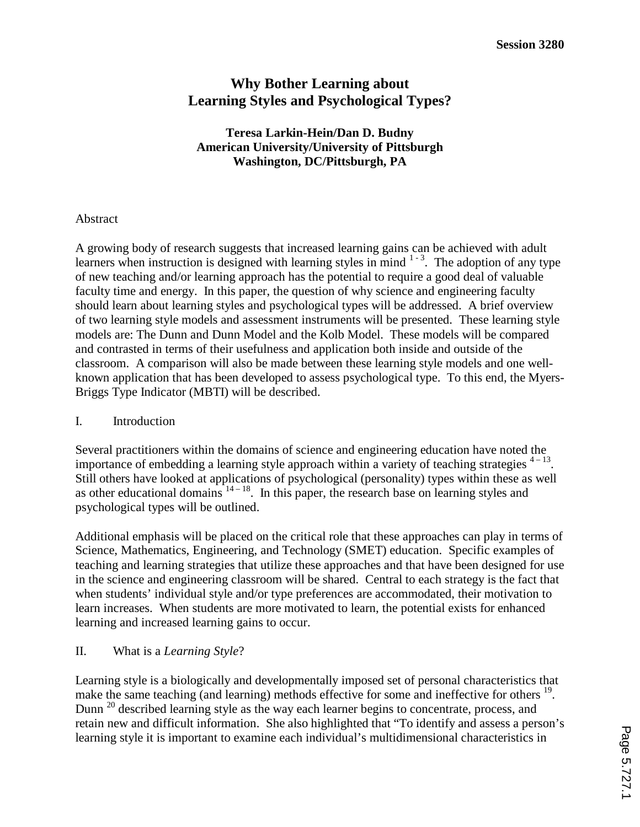# **Why Bother Learning about Learning Styles and Psychological Types?**

# **Teresa Larkin-Hein/Dan D. Budny American University/University of Pittsburgh Washington, DC/Pittsburgh, PA**

# Abstract

A growing body of research suggests that increased learning gains can be achieved with adult learners when instruction is designed with learning styles in mind  $1 - 3$ . The adoption of any type of new teaching and/or learning approach has the potential to require a good deal of valuable faculty time and energy. In this paper, the question of why science and engineering faculty should learn about learning styles and psychological types will be addressed. A brief overview of two learning style models and assessment instruments will be presented. These learning style models are: The Dunn and Dunn Model and the Kolb Model. These models will be compared and contrasted in terms of their usefulness and application both inside and outside of the classroom. A comparison will also be made between these learning style models and one wellknown application that has been developed to assess psychological type. To this end, the Myers-Briggs Type Indicator (MBTI) will be described.

# I. Introduction

Several practitioners within the domains of science and engineering education have noted the importance of embedding a learning style approach within a variety of teaching strategies  $4-13$ . Still others have looked at applications of psychological (personality) types within these as well as other educational domains  $14 - 18$ . In this paper, the research base on learning styles and psychological types will be outlined.

Additional emphasis will be placed on the critical role that these approaches can play in terms of Science, Mathematics, Engineering, and Technology (SMET) education. Specific examples of teaching and learning strategies that utilize these approaches and that have been designed for use in the science and engineering classroom will be shared. Central to each strategy is the fact that when students' individual style and/or type preferences are accommodated, their motivation to learn increases. When students are more motivated to learn, the potential exists for enhanced learning and increased learning gains to occur.

# II. What is a *Learning Style*?

Learning style is a biologically and developmentally imposed set of personal characteristics that make the same teaching (and learning) methods effective for some and ineffective for others <sup>19</sup>. Dunn <sup>20</sup> described learning style as the way each learner begins to concentrate, process, and retain new and difficult information. She also highlighted that "To identify and assess a person's learning style it is important to examine each individual's multidimensional characteristics in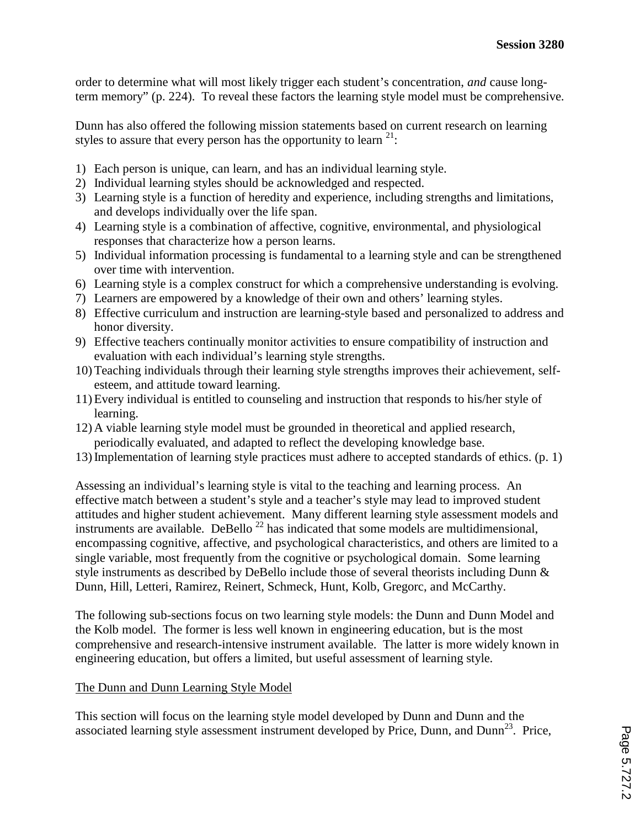order to determine what will most likely trigger each student's concentration, *and* cause longterm memory" (p. 224). To reveal these factors the learning style model must be comprehensive.

Dunn has also offered the following mission statements based on current research on learning styles to assure that every person has the opportunity to learn  $21$ :

- 1) Each person is unique, can learn, and has an individual learning style.
- 2) Individual learning styles should be acknowledged and respected.
- 3) Learning style is a function of heredity and experience, including strengths and limitations, and develops individually over the life span.
- 4) Learning style is a combination of affective, cognitive, environmental, and physiological responses that characterize how a person learns.
- 5) Individual information processing is fundamental to a learning style and can be strengthened over time with intervention.
- 6) Learning style is a complex construct for which a comprehensive understanding is evolving.
- 7) Learners are empowered by a knowledge of their own and others' learning styles.
- 8) Effective curriculum and instruction are learning-style based and personalized to address and honor diversity.
- 9) Effective teachers continually monitor activities to ensure compatibility of instruction and evaluation with each individual's learning style strengths.
- 10) Teaching individuals through their learning style strengths improves their achievement, selfesteem, and attitude toward learning.
- 11) Every individual is entitled to counseling and instruction that responds to his/her style of learning.
- 12) A viable learning style model must be grounded in theoretical and applied research, periodically evaluated, and adapted to reflect the developing knowledge base.
- 13) Implementation of learning style practices must adhere to accepted standards of ethics. (p. 1)

Assessing an individual's learning style is vital to the teaching and learning process. An effective match between a student's style and a teacher's style may lead to improved student attitudes and higher student achievement. Many different learning style assessment models and instruments are available. DeBello<sup>22</sup> has indicated that some models are multidimensional, encompassing cognitive, affective, and psychological characteristics, and others are limited to a single variable, most frequently from the cognitive or psychological domain. Some learning style instruments as described by DeBello include those of several theorists including Dunn & Dunn, Hill, Letteri, Ramirez, Reinert, Schmeck, Hunt, Kolb, Gregorc, and McCarthy.

The following sub-sections focus on two learning style models: the Dunn and Dunn Model and the Kolb model. The former is less well known in engineering education, but is the most comprehensive and research-intensive instrument available. The latter is more widely known in engineering education, but offers a limited, but useful assessment of learning style.

# The Dunn and Dunn Learning Style Model

This section will focus on the learning style model developed by Dunn and Dunn and the associated learning style assessment instrument developed by Price, Dunn, and Dunn<sup>23</sup>. Price,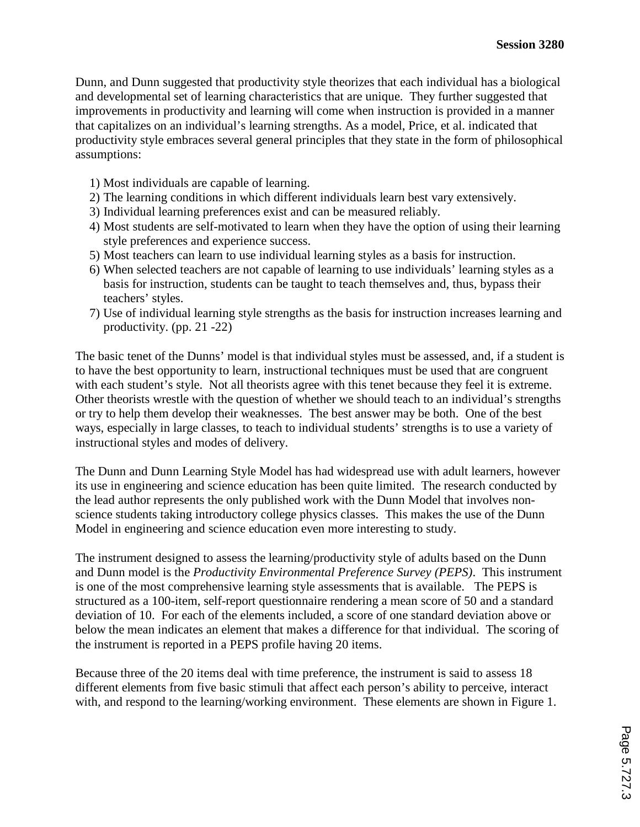Dunn, and Dunn suggested that productivity style theorizes that each individual has a biological and developmental set of learning characteristics that are unique. They further suggested that improvements in productivity and learning will come when instruction is provided in a manner that capitalizes on an individual's learning strengths. As a model, Price, et al. indicated that productivity style embraces several general principles that they state in the form of philosophical assumptions:

- 1) Most individuals are capable of learning.
- 2) The learning conditions in which different individuals learn best vary extensively.
- 3) Individual learning preferences exist and can be measured reliably.
- 4) Most students are self-motivated to learn when they have the option of using their learning style preferences and experience success.
- 5) Most teachers can learn to use individual learning styles as a basis for instruction.
- 6) When selected teachers are not capable of learning to use individuals' learning styles as a basis for instruction, students can be taught to teach themselves and, thus, bypass their teachers' styles.
- 7) Use of individual learning style strengths as the basis for instruction increases learning and productivity. (pp. 21 -22)

The basic tenet of the Dunns' model is that individual styles must be assessed, and, if a student is to have the best opportunity to learn, instructional techniques must be used that are congruent with each student's style. Not all theorists agree with this tenet because they feel it is extreme. Other theorists wrestle with the question of whether we should teach to an individual's strengths or try to help them develop their weaknesses. The best answer may be both. One of the best ways, especially in large classes, to teach to individual students' strengths is to use a variety of instructional styles and modes of delivery.

The Dunn and Dunn Learning Style Model has had widespread use with adult learners, however its use in engineering and science education has been quite limited. The research conducted by the lead author represents the only published work with the Dunn Model that involves nonscience students taking introductory college physics classes. This makes the use of the Dunn Model in engineering and science education even more interesting to study.

The instrument designed to assess the learning/productivity style of adults based on the Dunn and Dunn model is the *Productivity Environmental Preference Survey (PEPS)*. This instrument is one of the most comprehensive learning style assessments that is available. The PEPS is structured as a 100-item, self-report questionnaire rendering a mean score of 50 and a standard deviation of 10. For each of the elements included, a score of one standard deviation above or below the mean indicates an element that makes a difference for that individual. The scoring of the instrument is reported in a PEPS profile having 20 items.

Because three of the 20 items deal with time preference, the instrument is said to assess 18 different elements from five basic stimuli that affect each person's ability to perceive, interact with, and respond to the learning/working environment. These elements are shown in Figure 1.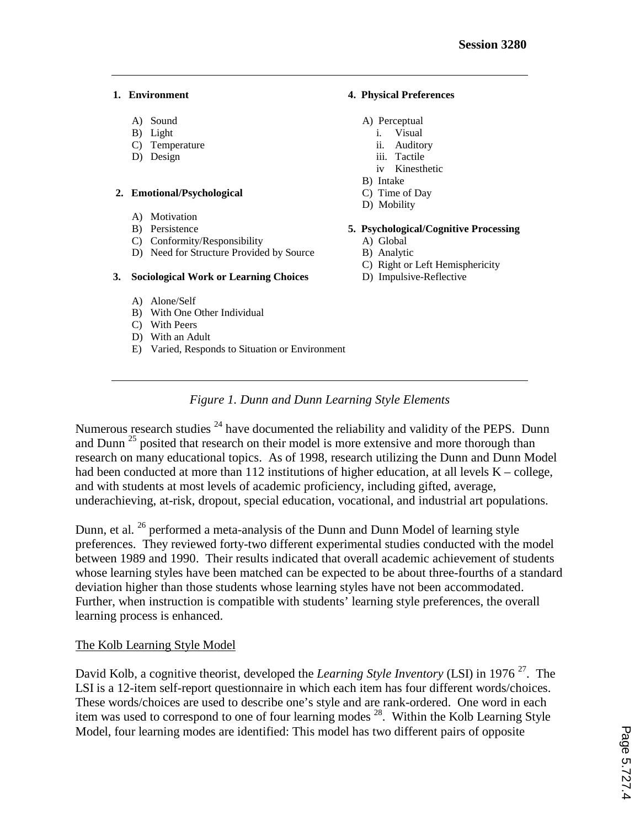- 
- 
- C) Temperature ii. Auditory
- D) Design iii. Tactile

#### **2. Emotional/Psychological** C) Time of Day

- A) Motivation
- 
- 
- C) Conformity/Responsibility (A) Global (D) Need for Structure Provided by Source (A) B) Analytic D) Need for Structure Provided by Source

#### **3. Sociological Work or Learning Choices** D) Impulsive-Reflective

- A) Alone/Self
- B) With One Other Individual
- C) With Peers
- D) With an Adult
- E) Varied, Responds to Situation or Environment

#### **1. Environment 4. Physical Preferences**

- A) Sound A) Perceptual
- B) Light i. Visual
	-
	- iv Kinesthetic
	- B) Intake
	-
	- D) Mobility

#### B) Persistence **5. Psychological/Cognitive Processing**

- 
- 
- C) Right or Left Hemisphericity
- 

# *Figure 1. Dunn and Dunn Learning Style Elements*

Numerous research studies <sup>24</sup> have documented the reliability and validity of the PEPS. Dunn and Dunn<sup>25</sup> posited that research on their model is more extensive and more thorough than research on many educational topics. As of 1998, research utilizing the Dunn and Dunn Model had been conducted at more than 112 institutions of higher education, at all levels  $K -$ college, and with students at most levels of academic proficiency, including gifted, average, underachieving, at-risk, dropout, special education, vocational, and industrial art populations.

Dunn, et al. <sup>26</sup> performed a meta-analysis of the Dunn and Dunn Model of learning style preferences. They reviewed forty-two different experimental studies conducted with the model between 1989 and 1990. Their results indicated that overall academic achievement of students whose learning styles have been matched can be expected to be about three-fourths of a standard deviation higher than those students whose learning styles have not been accommodated. Further, when instruction is compatible with students' learning style preferences, the overall learning process is enhanced.

# The Kolb Learning Style Model

David Kolb, a cognitive theorist, developed the *Learning Style Inventory* (LSI) in 1976<sup>27</sup>. The LSI is a 12-item self-report questionnaire in which each item has four different words/choices. These words/choices are used to describe one's style and are rank-ordered. One word in each item was used to correspond to one of four learning modes 28. Within the Kolb Learning Style Model, four learning modes are identified: This model has two different pairs of opposite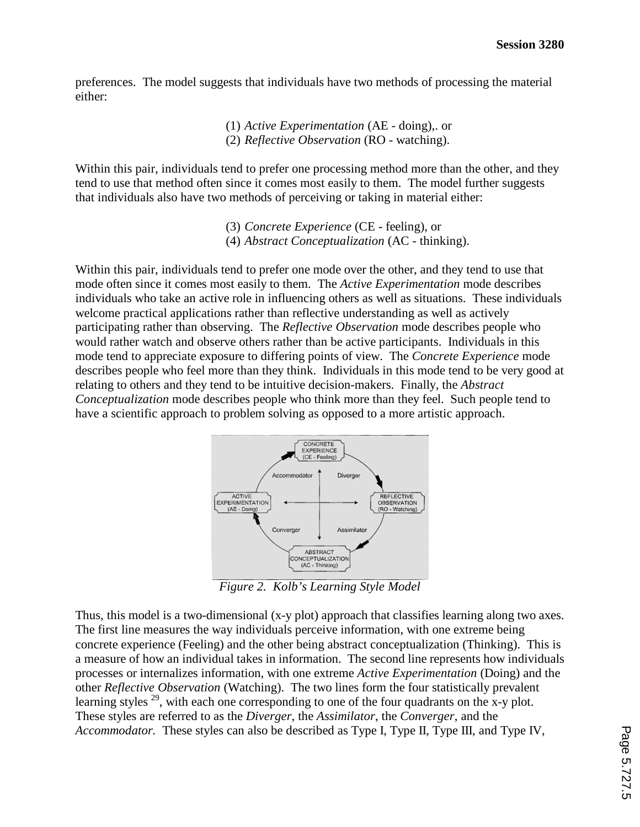preferences. The model suggests that individuals have two methods of processing the material either:

> (1) *Active Experimentation* (AE - doing),. or (2) *Reflective Observation* (RO - watching).

Within this pair, individuals tend to prefer one processing method more than the other, and they tend to use that method often since it comes most easily to them. The model further suggests that individuals also have two methods of perceiving or taking in material either:

> (3) *Concrete Experience* (CE - feeling), or (4) *Abstract Conceptualization* (AC - thinking).

Within this pair, individuals tend to prefer one mode over the other, and they tend to use that mode often since it comes most easily to them. The *Active Experimentation* mode describes individuals who take an active role in influencing others as well as situations. These individuals welcome practical applications rather than reflective understanding as well as actively participating rather than observing. The *Reflective Observation* mode describes people who would rather watch and observe others rather than be active participants. Individuals in this mode tend to appreciate exposure to differing points of view. The *Concrete Experience* mode describes people who feel more than they think. Individuals in this mode tend to be very good at relating to others and they tend to be intuitive decision-makers. Finally, the *Abstract Conceptualization* mode describes people who think more than they feel. Such people tend to have a scientific approach to problem solving as opposed to a more artistic approach.



*Figure 2. Kolb's Learning Style Model* 

Thus, this model is a two-dimensional (x-y plot) approach that classifies learning along two axes. The first line measures the way individuals perceive information, with one extreme being concrete experience (Feeling) and the other being abstract conceptualization (Thinking). This is a measure of how an individual takes in information. The second line represents how individuals processes or internalizes information, with one extreme *Active Experimentation* (Doing) and the other *Reflective Observation* (Watching). The two lines form the four statistically prevalent learning styles  $^{29}$ , with each one corresponding to one of the four quadrants on the x-y plot. These styles are referred to as the *Diverger*, the *Assimilator*, the *Converger*, and the *Accommodator.* These styles can also be described as Type I, Type II, Type III, and Type IV,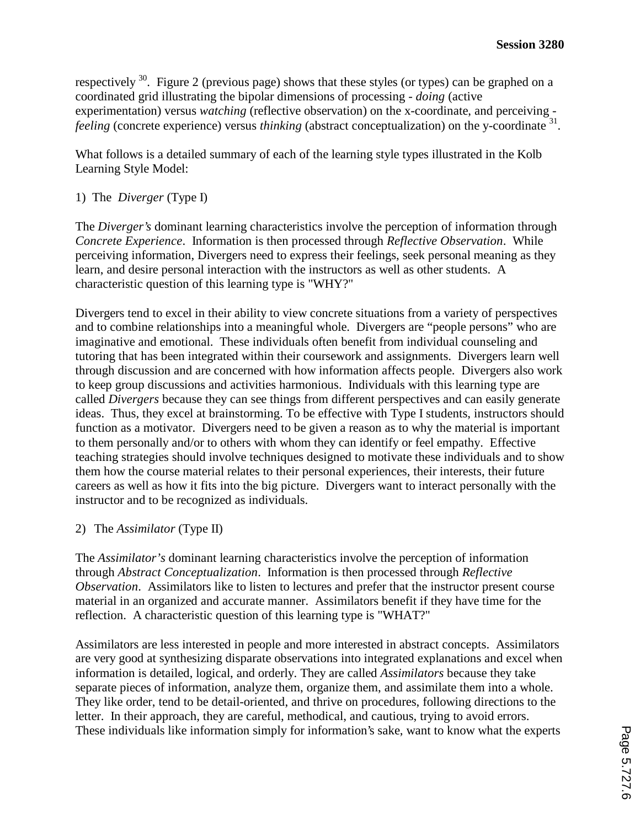respectively  $30$ . Figure 2 (previous page) shows that these styles (or types) can be graphed on a coordinated grid illustrating the bipolar dimensions of processing - *doing* (active experimentation) versus *watching* (reflective observation) on the x-coordinate, and perceiving *feeling* (concrete experience) versus *thinking* (abstract conceptualization) on the y-coordinate <sup>31</sup>.

What follows is a detailed summary of each of the learning style types illustrated in the Kolb Learning Style Model:

# 1) The *Diverger* (Type I)

The *Diverger's* dominant learning characteristics involve the perception of information through *Concrete Experience*. Information is then processed through *Reflective Observation*. While perceiving information, Divergers need to express their feelings, seek personal meaning as they learn, and desire personal interaction with the instructors as well as other students. A characteristic question of this learning type is "WHY?"

Divergers tend to excel in their ability to view concrete situations from a variety of perspectives and to combine relationships into a meaningful whole. Divergers are "people persons" who are imaginative and emotional. These individuals often benefit from individual counseling and tutoring that has been integrated within their coursework and assignments. Divergers learn well through discussion and are concerned with how information affects people. Divergers also work to keep group discussions and activities harmonious. Individuals with this learning type are called *Divergers* because they can see things from different perspectives and can easily generate ideas. Thus, they excel at brainstorming. To be effective with Type I students, instructors should function as a motivator. Divergers need to be given a reason as to why the material is important to them personally and/or to others with whom they can identify or feel empathy. Effective teaching strategies should involve techniques designed to motivate these individuals and to show them how the course material relates to their personal experiences, their interests, their future careers as well as how it fits into the big picture. Divergers want to interact personally with the instructor and to be recognized as individuals.

# 2) The *Assimilator* (Type II)

The *Assimilator's* dominant learning characteristics involve the perception of information through *Abstract Conceptualization*. Information is then processed through *Reflective Observation*. Assimilators like to listen to lectures and prefer that the instructor present course material in an organized and accurate manner. Assimilators benefit if they have time for the reflection. A characteristic question of this learning type is "WHAT?"

Assimilators are less interested in people and more interested in abstract concepts. Assimilators are very good at synthesizing disparate observations into integrated explanations and excel when information is detailed, logical, and orderly. They are called *Assimilators* because they take separate pieces of information, analyze them, organize them, and assimilate them into a whole. They like order, tend to be detail-oriented, and thrive on procedures, following directions to the letter. In their approach, they are careful, methodical, and cautious, trying to avoid errors. These individuals like information simply for information's sake, want to know what the experts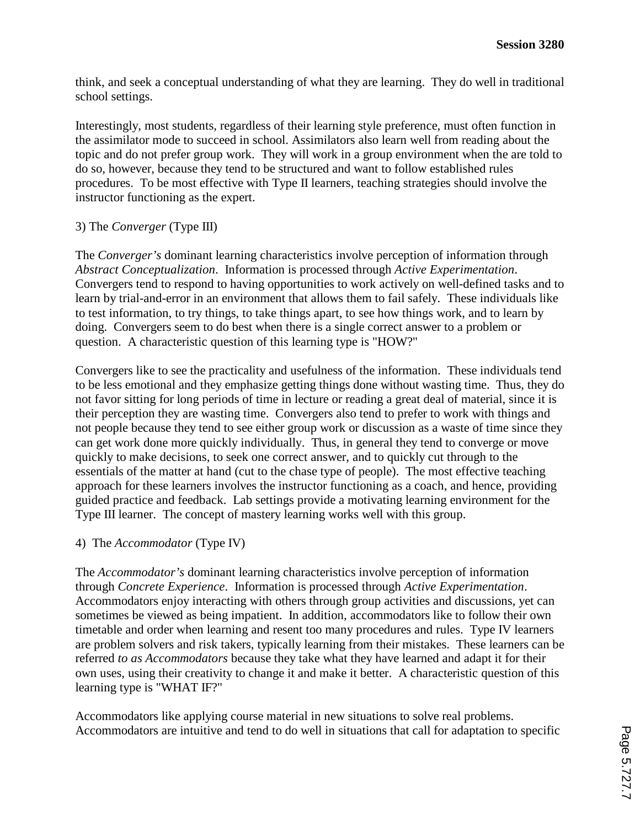think, and seek a conceptual understanding of what they are learning. They do well in traditional school settings.

Interestingly, most students, regardless of their learning style preference, must often function in the assimilator mode to succeed in school. Assimilators also learn well from reading about the topic and do not prefer group work. They will work in a group environment when the are told to do so, however, because they tend to be structured and want to follow established rules procedures. To be most effective with Type II learners, teaching strategies should involve the instructor functioning as the expert.

# 3) The *Converger* (Type III)

The *Converger's* dominant learning characteristics involve perception of information through *Abstract Conceptualization*. Information is processed through *Active Experimentation*. Convergers tend to respond to having opportunities to work actively on well-defined tasks and to learn by trial-and-error in an environment that allows them to fail safely. These individuals like to test information, to try things, to take things apart, to see how things work, and to learn by doing. Convergers seem to do best when there is a single correct answer to a problem or question. A characteristic question of this learning type is "HOW?"

Convergers like to see the practicality and usefulness of the information. These individuals tend to be less emotional and they emphasize getting things done without wasting time. Thus, they do not favor sitting for long periods of time in lecture or reading a great deal of material, since it is their perception they are wasting time. Convergers also tend to prefer to work with things and not people because they tend to see either group work or discussion as a waste of time since they can get work done more quickly individually. Thus, in general they tend to converge or move quickly to make decisions, to seek one correct answer, and to quickly cut through to the essentials of the matter at hand (cut to the chase type of people). The most effective teaching approach for these learners involves the instructor functioning as a coach, and hence, providing guided practice and feedback. Lab settings provide a motivating learning environment for the Type III learner. The concept of mastery learning works well with this group.

# 4) The *Accommodator* (Type IV)

The *Accommodator's* dominant learning characteristics involve perception of information through *Concrete Experience*. Information is processed through *Active Experimentation*. Accommodators enjoy interacting with others through group activities and discussions, yet can sometimes be viewed as being impatient. In addition, accommodators like to follow their own timetable and order when learning and resent too many procedures and rules. Type IV learners are problem solvers and risk takers, typically learning from their mistakes. These learners can be referred *to as Accommodators* because they take what they have learned and adapt it for their own uses, using their creativity to change it and make it better. A characteristic question of this learning type is "WHAT IF?"

Accommodators like applying course material in new situations to solve real problems. Accommodators are intuitive and tend to do well in situations that call for adaptation to specific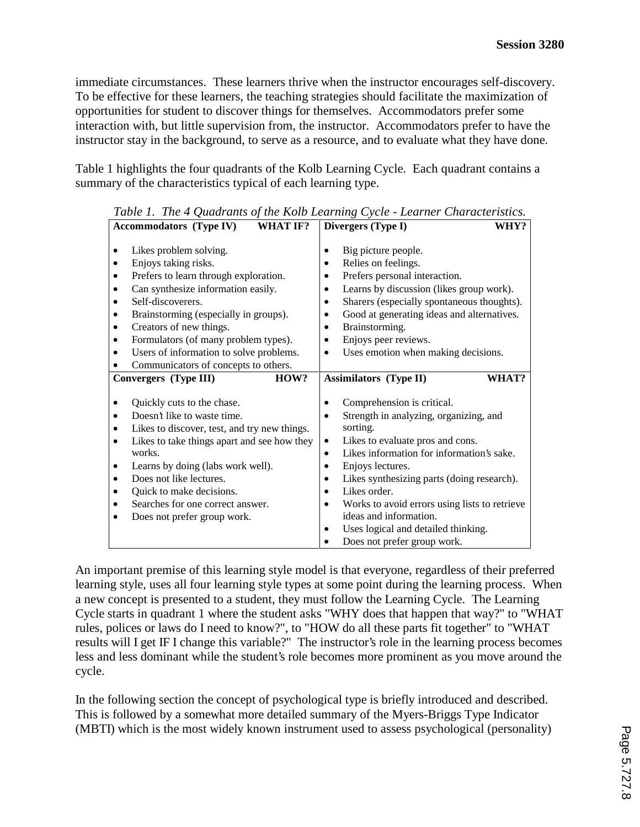immediate circumstances. These learners thrive when the instructor encourages self-discovery. To be effective for these learners, the teaching strategies should facilitate the maximization of opportunities for student to discover things for themselves. Accommodators prefer some interaction with, but little supervision from, the instructor. Accommodators prefer to have the instructor stay in the background, to serve as a resource, and to evaluate what they have done.

Table 1 highlights the four quadrants of the Kolb Learning Cycle. Each quadrant contains a summary of the characteristics typical of each learning type.

|           | <b>Accommodators (Type IV)</b><br><b>WHAT IF?</b>                                                                                                                                                                                                                                                         |                                         | Divergers (Type I)                                                                                                                                                                                                                                                                                   | WHY?  |
|-----------|-----------------------------------------------------------------------------------------------------------------------------------------------------------------------------------------------------------------------------------------------------------------------------------------------------------|-----------------------------------------|------------------------------------------------------------------------------------------------------------------------------------------------------------------------------------------------------------------------------------------------------------------------------------------------------|-------|
| $\bullet$ | Likes problem solving.<br>Enjoys taking risks.<br>Prefers to learn through exploration.<br>Can synthesize information easily.<br>Self-discoverers.<br>Brainstorming (especially in groups).<br>Creators of new things.<br>Formulators (of many problem types).<br>Users of information to solve problems. | ٠<br>٠<br>٠<br>٠<br>$\bullet$<br>٠<br>٠ | Big picture people.<br>Relies on feelings.<br>Prefers personal interaction.<br>Learns by discussion (likes group work).<br>Sharers (especially spontaneous thoughts).<br>Good at generating ideas and alternatives.<br>Brainstorming.<br>Enjoys peer reviews.<br>Uses emotion when making decisions. |       |
|           | Communicators of concepts to others.<br>HOW?                                                                                                                                                                                                                                                              |                                         |                                                                                                                                                                                                                                                                                                      | WHAT? |
|           | Convergers (Type III)                                                                                                                                                                                                                                                                                     |                                         | <b>Assimilators (Type II)</b>                                                                                                                                                                                                                                                                        |       |
|           | Quickly cuts to the chase.                                                                                                                                                                                                                                                                                |                                         | Comprehension is critical.                                                                                                                                                                                                                                                                           |       |
|           | Doesn't like to waste time.                                                                                                                                                                                                                                                                               |                                         | Strength in analyzing, organizing, and                                                                                                                                                                                                                                                               |       |
|           | Likes to discover, test, and try new things.                                                                                                                                                                                                                                                              |                                         | sorting.                                                                                                                                                                                                                                                                                             |       |
|           | Likes to take things apart and see how they                                                                                                                                                                                                                                                               | ٠                                       | Likes to evaluate pros and cons.                                                                                                                                                                                                                                                                     |       |
|           | works.                                                                                                                                                                                                                                                                                                    | ٠                                       | Likes information for information's sake.                                                                                                                                                                                                                                                            |       |
|           | Learns by doing (labs work well).                                                                                                                                                                                                                                                                         |                                         | Enjoys lectures.                                                                                                                                                                                                                                                                                     |       |
|           | Does not like lectures.                                                                                                                                                                                                                                                                                   | ٠                                       | Likes synthesizing parts (doing research).                                                                                                                                                                                                                                                           |       |
|           | Quick to make decisions.                                                                                                                                                                                                                                                                                  | $\bullet$                               | Likes order.                                                                                                                                                                                                                                                                                         |       |
|           | Searches for one correct answer.                                                                                                                                                                                                                                                                          |                                         | Works to avoid errors using lists to retrieve                                                                                                                                                                                                                                                        |       |
|           | Does not prefer group work.                                                                                                                                                                                                                                                                               |                                         | ideas and information.                                                                                                                                                                                                                                                                               |       |
|           |                                                                                                                                                                                                                                                                                                           | ٠                                       | Uses logical and detailed thinking.                                                                                                                                                                                                                                                                  |       |
|           |                                                                                                                                                                                                                                                                                                           | $\bullet$                               | Does not prefer group work.                                                                                                                                                                                                                                                                          |       |

*Table 1. The 4 Quadrants of the Kolb Learning Cycle - Learner Characteristics.* 

An important premise of this learning style model is that everyone, regardless of their preferred learning style, uses all four learning style types at some point during the learning process. When a new concept is presented to a student, they must follow the Learning Cycle. The Learning Cycle starts in quadrant 1 where the student asks "WHY does that happen that way?" to "WHAT rules, polices or laws do I need to know?", to "HOW do all these parts fit together" to "WHAT results will I get IF I change this variable?" The instructor's role in the learning process becomes less and less dominant while the student's role becomes more prominent as you move around the cycle.

In the following section the concept of psychological type is briefly introduced and described. This is followed by a somewhat more detailed summary of the Myers-Briggs Type Indicator (MBTI) which is the most widely known instrument used to assess psychological (personality)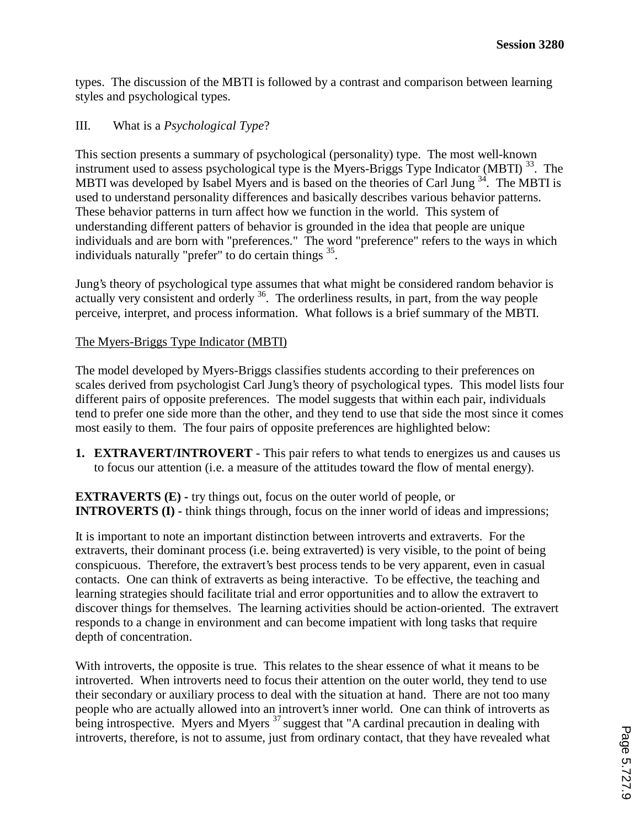types. The discussion of the MBTI is followed by a contrast and comparison between learning styles and psychological types.

# III. What is a *Psychological Type*?

This section presents a summary of psychological (personality) type. The most well-known instrument used to assess psychological type is the Myers-Briggs Type Indicator (MBTI)  $^{33}$ . The MBTI was developed by Isabel Myers and is based on the theories of Carl Jung <sup>34</sup>. The MBTI is used to understand personality differences and basically describes various behavior patterns. These behavior patterns in turn affect how we function in the world. This system of understanding different patters of behavior is grounded in the idea that people are unique individuals and are born with "preferences." The word "preference" refers to the ways in which individuals naturally "prefer" to do certain things  $^{35}$ .

Jung's theory of psychological type assumes that what might be considered random behavior is actually very consistent and orderly  $36$ . The orderliness results, in part, from the way people perceive, interpret, and process information. What follows is a brief summary of the MBTI.

# The Myers-Briggs Type Indicator (MBTI)

The model developed by Myers-Briggs classifies students according to their preferences on scales derived from psychologist Carl Jung's theory of psychological types. This model lists four different pairs of opposite preferences. The model suggests that within each pair, individuals tend to prefer one side more than the other, and they tend to use that side the most since it comes most easily to them. The four pairs of opposite preferences are highlighted below:

**1. EXTRAVERT/INTROVERT** - This pair refers to what tends to energizes us and causes us to focus our attention (i.e. a measure of the attitudes toward the flow of mental energy).

**EXTRAVERTS (E) - try things out, focus on the outer world of people, or INTROVERTS (I)** - think things through, focus on the inner world of ideas and impressions;

It is important to note an important distinction between introverts and extraverts. For the extraverts, their dominant process (i.e. being extraverted) is very visible, to the point of being conspicuous. Therefore, the extravert's best process tends to be very apparent, even in casual contacts. One can think of extraverts as being interactive. To be effective, the teaching and learning strategies should facilitate trial and error opportunities and to allow the extravert to discover things for themselves. The learning activities should be action-oriented. The extravert responds to a change in environment and can become impatient with long tasks that require depth of concentration.

With introverts, the opposite is true. This relates to the shear essence of what it means to be introverted. When introverts need to focus their attention on the outer world, they tend to use their secondary or auxiliary process to deal with the situation at hand. There are not too many people who are actually allowed into an introvert's inner world. One can think of introverts as being introspective. Myers and Myers<sup>37</sup> suggest that "A cardinal precaution in dealing with introverts, therefore, is not to assume, just from ordinary contact, that they have revealed what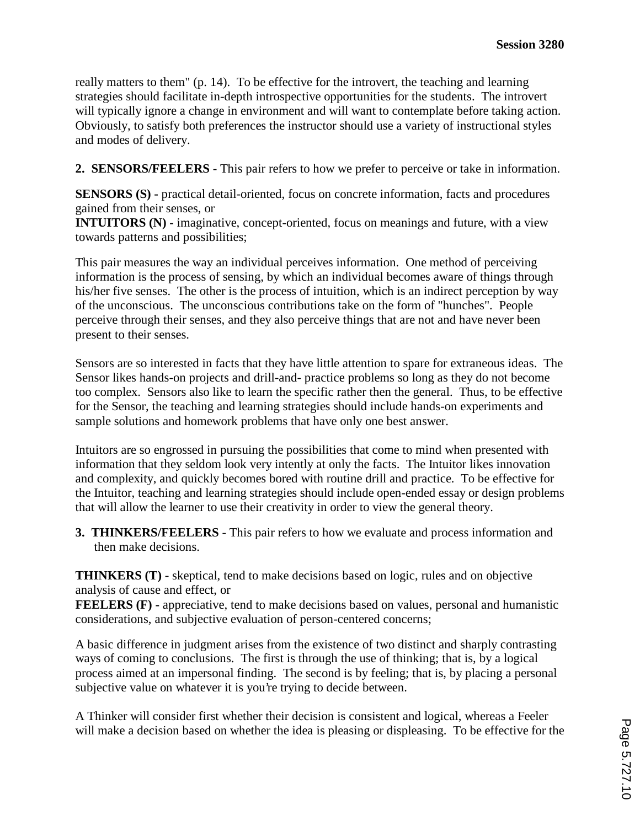really matters to them" (p. 14). To be effective for the introvert, the teaching and learning strategies should facilitate in-depth introspective opportunities for the students. The introvert will typically ignore a change in environment and will want to contemplate before taking action. Obviously, to satisfy both preferences the instructor should use a variety of instructional styles and modes of delivery.

**2. SENSORS/FEELERS** - This pair refers to how we prefer to perceive or take in information.

**SENSORS (S)** - practical detail-oriented, focus on concrete information, facts and procedures gained from their senses, or

**INTUITORS (N)** - imaginative, concept-oriented, focus on meanings and future, with a view towards patterns and possibilities;

This pair measures the way an individual perceives information. One method of perceiving information is the process of sensing, by which an individual becomes aware of things through his/her five senses. The other is the process of intuition, which is an indirect perception by way of the unconscious. The unconscious contributions take on the form of "hunches". People perceive through their senses, and they also perceive things that are not and have never been present to their senses.

Sensors are so interested in facts that they have little attention to spare for extraneous ideas. The Sensor likes hands-on projects and drill-and- practice problems so long as they do not become too complex. Sensors also like to learn the specific rather then the general. Thus, to be effective for the Sensor, the teaching and learning strategies should include hands-on experiments and sample solutions and homework problems that have only one best answer.

Intuitors are so engrossed in pursuing the possibilities that come to mind when presented with information that they seldom look very intently at only the facts. The Intuitor likes innovation and complexity, and quickly becomes bored with routine drill and practice. To be effective for the Intuitor, teaching and learning strategies should include open-ended essay or design problems that will allow the learner to use their creativity in order to view the general theory.

**3. THINKERS/FEELERS** - This pair refers to how we evaluate and process information and then make decisions.

**THINKERS (T) -** skeptical, tend to make decisions based on logic, rules and on objective analysis of cause and effect, or

**FEELERS (F)** - appreciative, tend to make decisions based on values, personal and humanistic considerations, and subjective evaluation of person-centered concerns;

A basic difference in judgment arises from the existence of two distinct and sharply contrasting ways of coming to conclusions. The first is through the use of thinking; that is, by a logical process aimed at an impersonal finding. The second is by feeling; that is, by placing a personal subjective value on whatever it is you're trying to decide between.

A Thinker will consider first whether their decision is consistent and logical, whereas a Feeler will make a decision based on whether the idea is pleasing or displeasing. To be effective for the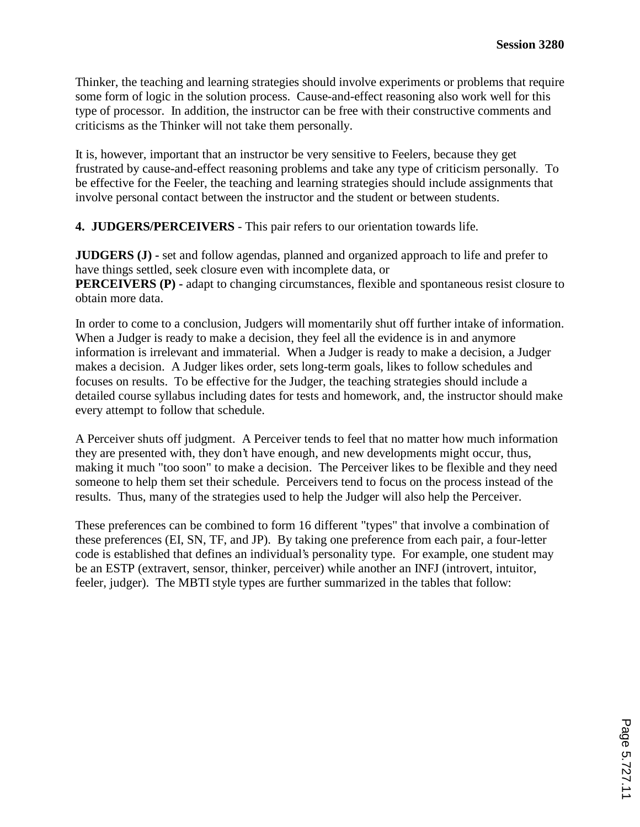Thinker, the teaching and learning strategies should involve experiments or problems that require some form of logic in the solution process. Cause-and-effect reasoning also work well for this type of processor. In addition, the instructor can be free with their constructive comments and criticisms as the Thinker will not take them personally.

It is, however, important that an instructor be very sensitive to Feelers, because they get frustrated by cause-and-effect reasoning problems and take any type of criticism personally. To be effective for the Feeler, the teaching and learning strategies should include assignments that involve personal contact between the instructor and the student or between students.

**4. JUDGERS/PERCEIVERS** - This pair refers to our orientation towards life.

**JUDGERS (J) -** set and follow agendas, planned and organized approach to life and prefer to have things settled, seek closure even with incomplete data, or **PERCEIVERS (P)** - adapt to changing circumstances, flexible and spontaneous resist closure to obtain more data.

In order to come to a conclusion, Judgers will momentarily shut off further intake of information. When a Judger is ready to make a decision, they feel all the evidence is in and anymore information is irrelevant and immaterial. When a Judger is ready to make a decision, a Judger makes a decision. A Judger likes order, sets long-term goals, likes to follow schedules and focuses on results. To be effective for the Judger, the teaching strategies should include a detailed course syllabus including dates for tests and homework, and, the instructor should make every attempt to follow that schedule.

A Perceiver shuts off judgment. A Perceiver tends to feel that no matter how much information they are presented with, they don't have enough, and new developments might occur, thus, making it much "too soon" to make a decision. The Perceiver likes to be flexible and they need someone to help them set their schedule. Perceivers tend to focus on the process instead of the results. Thus, many of the strategies used to help the Judger will also help the Perceiver.

These preferences can be combined to form 16 different "types" that involve a combination of these preferences (EI, SN, TF, and JP). By taking one preference from each pair, a four-letter code is established that defines an individual's personality type. For example, one student may be an ESTP (extravert, sensor, thinker, perceiver) while another an INFJ (introvert, intuitor, feeler, judger). The MBTI style types are further summarized in the tables that follow: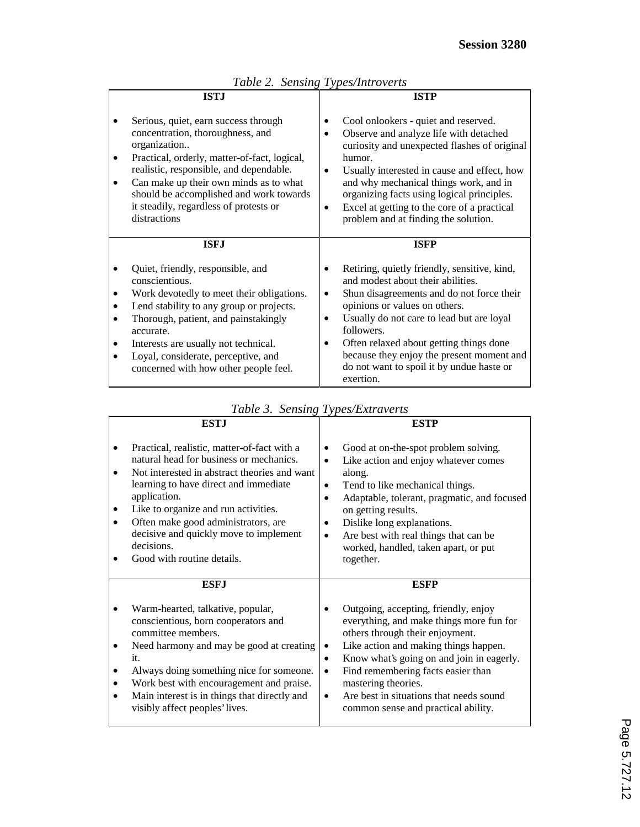|   | <b>ISTJ</b>                                                                                                                                                                                                                                                                                                                        |   | <b>ISTP</b>                                                                                                                                                                                                                                                                                                                                                                  |
|---|------------------------------------------------------------------------------------------------------------------------------------------------------------------------------------------------------------------------------------------------------------------------------------------------------------------------------------|---|------------------------------------------------------------------------------------------------------------------------------------------------------------------------------------------------------------------------------------------------------------------------------------------------------------------------------------------------------------------------------|
|   | Serious, quiet, earn success through<br>concentration, thoroughness, and<br>organization<br>Practical, orderly, matter-of-fact, logical,<br>realistic, responsible, and dependable.<br>Can make up their own minds as to what<br>should be accomplished and work towards<br>it steadily, regardless of protests or<br>distractions | ٠ | Cool onlookers - quiet and reserved.<br>Observe and analyze life with detached<br>curiosity and unexpected flashes of original<br>humor.<br>Usually interested in cause and effect, how<br>and why mechanical things work, and in<br>organizing facts using logical principles.<br>Excel at getting to the core of a practical<br>problem and at finding the solution.       |
|   | <b>ISFJ</b>                                                                                                                                                                                                                                                                                                                        |   | <b>ISFP</b>                                                                                                                                                                                                                                                                                                                                                                  |
| ٠ | Quiet, friendly, responsible, and<br>conscientious.<br>Work devotedly to meet their obligations.<br>Lend stability to any group or projects.<br>Thorough, patient, and painstakingly<br>accurate.<br>Interests are usually not technical.<br>Loyal, considerate, perceptive, and<br>concerned with how other people feel.          |   | Retiring, quietly friendly, sensitive, kind,<br>and modest about their abilities.<br>Shun disagreements and do not force their<br>opinions or values on others.<br>Usually do not care to lead but are loyal<br>followers.<br>Often relaxed about getting things done<br>because they enjoy the present moment and<br>do not want to spoil it by undue haste or<br>exertion. |

*Table 2. Sensing Types/Introverts* 

|  |  | Table 3. Sensing Types/Extraverts |
|--|--|-----------------------------------|
|--|--|-----------------------------------|

|   | <b>ESTJ</b>                                                                                                                                                                                                                                                                                                                                                          | <b>ESTP</b>                                                                                                                                                                                                                                                                                                                                                             |
|---|----------------------------------------------------------------------------------------------------------------------------------------------------------------------------------------------------------------------------------------------------------------------------------------------------------------------------------------------------------------------|-------------------------------------------------------------------------------------------------------------------------------------------------------------------------------------------------------------------------------------------------------------------------------------------------------------------------------------------------------------------------|
|   | Practical, realistic, matter-of-fact with a<br>natural head for business or mechanics.<br>Not interested in abstract theories and want<br>learning to have direct and immediate<br>application.<br>Like to organize and run activities.<br>Often make good administrators, are<br>decisive and quickly move to implement<br>decisions.<br>Good with routine details. | Good at on-the-spot problem solving.<br>Like action and enjoy whatever comes<br>along.<br>Tend to like mechanical things.<br>Adaptable, tolerant, pragmatic, and focused<br>٠<br>on getting results.<br>Dislike long explanations.<br>Are best with real things that can be<br>٠<br>worked, handled, taken apart, or put<br>together.                                   |
| ٠ | <b>ESF.I</b><br>Warm-hearted, talkative, popular,<br>conscientious, born cooperators and<br>committee members.<br>Need harmony and may be good at creating<br>it.<br>Always doing something nice for someone.<br>Work best with encouragement and praise.<br>Main interest is in things that directly and<br>visibly affect peoples' lives.                          | <b>ESFP</b><br>Outgoing, accepting, friendly, enjoy<br>everything, and make things more fun for<br>others through their enjoyment.<br>Like action and making things happen.<br>Know what's going on and join in eagerly.<br>Find remembering facts easier than<br>mastering theories.<br>Are best in situations that needs sound<br>common sense and practical ability. |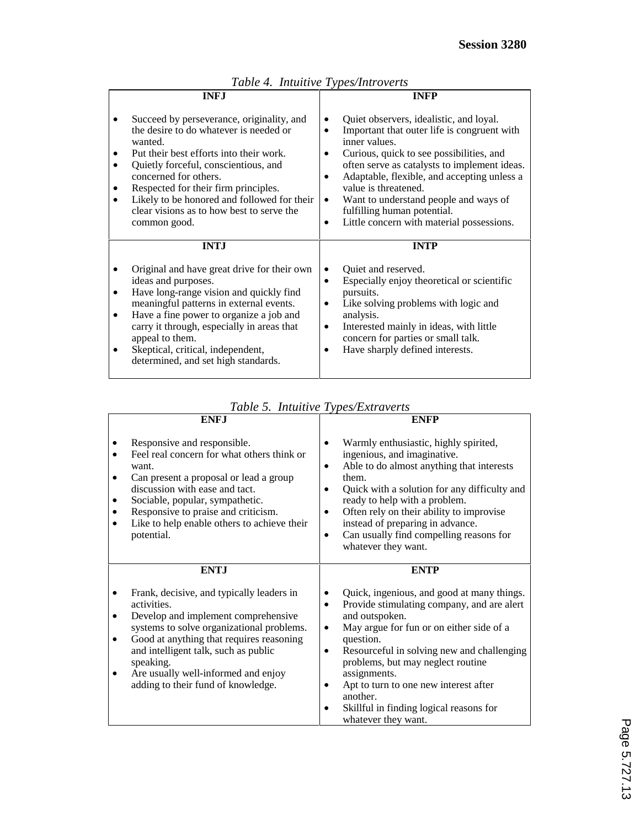| <b>INFJ</b> |                                                                                                                                                                                                                                                                                                                                                                | <b>INFP</b>                                                                                                                                                                                                                                                                                                                                                                                               |  |
|-------------|----------------------------------------------------------------------------------------------------------------------------------------------------------------------------------------------------------------------------------------------------------------------------------------------------------------------------------------------------------------|-----------------------------------------------------------------------------------------------------------------------------------------------------------------------------------------------------------------------------------------------------------------------------------------------------------------------------------------------------------------------------------------------------------|--|
|             | Succeed by perseverance, originality, and<br>the desire to do whatever is needed or<br>wanted.<br>Put their best efforts into their work.<br>Quietly forceful, conscientious, and<br>concerned for others.<br>Respected for their firm principles.<br>Likely to be honored and followed for their<br>clear visions as to how best to serve the<br>common good. | Quiet observers, idealistic, and loyal.<br>Important that outer life is congruent with<br>inner values.<br>Curious, quick to see possibilities, and<br>often serve as catalysts to implement ideas.<br>Adaptable, flexible, and accepting unless a<br>value is threatened.<br>Want to understand people and ways of<br>٠<br>fulfilling human potential.<br>Little concern with material possessions.<br>٠ |  |
|             | <b>INTJ</b>                                                                                                                                                                                                                                                                                                                                                    | <b>INTP</b>                                                                                                                                                                                                                                                                                                                                                                                               |  |
|             | Original and have great drive for their own<br>ideas and purposes.<br>Have long-range vision and quickly find<br>meaningful patterns in external events.<br>Have a fine power to organize a job and<br>carry it through, especially in areas that<br>appeal to them.<br>Skeptical, critical, independent,<br>determined, and set high standards.               | Quiet and reserved.<br>Especially enjoy theoretical or scientific<br>pursuits.<br>Like solving problems with logic and<br>analysis.<br>Interested mainly in ideas, with little<br>concern for parties or small talk.<br>Have sharply defined interests.                                                                                                                                                   |  |

|  |  | Table 4. Intuitive Types/Introverts |
|--|--|-------------------------------------|
|--|--|-------------------------------------|

| Table 5. Intuitive Types/Extraverts |  |
|-------------------------------------|--|
|-------------------------------------|--|

| <b>ENFJ</b>                                                                                                                                                                                                                                                                                                                                          | <b>ENFP</b>                                                                                                                                                                                                                                                                                                                                                                                                          |  |
|------------------------------------------------------------------------------------------------------------------------------------------------------------------------------------------------------------------------------------------------------------------------------------------------------------------------------------------------------|----------------------------------------------------------------------------------------------------------------------------------------------------------------------------------------------------------------------------------------------------------------------------------------------------------------------------------------------------------------------------------------------------------------------|--|
| Responsive and responsible.<br>Feel real concern for what others think or<br>want.<br>Can present a proposal or lead a group<br>$\bullet$<br>discussion with ease and tact.<br>Sociable, popular, sympathetic.<br>Responsive to praise and criticism.<br>Like to help enable others to achieve their<br>potential.                                   | Warmly enthusiastic, highly spirited,<br>ingenious, and imaginative.<br>Able to do almost anything that interests<br>٠<br>them.<br>Quick with a solution for any difficulty and<br>ready to help with a problem.<br>Often rely on their ability to improvise<br>instead of preparing in advance.<br>Can usually find compelling reasons for<br>$\bullet$<br>whatever they want.                                      |  |
| <b>ENTJ</b>                                                                                                                                                                                                                                                                                                                                          | <b>ENTP</b>                                                                                                                                                                                                                                                                                                                                                                                                          |  |
| Frank, decisive, and typically leaders in<br>activities.<br>Develop and implement comprehensive<br>$\bullet$<br>systems to solve organizational problems.<br>Good at anything that requires reasoning<br>$\bullet$<br>and intelligent talk, such as public<br>speaking.<br>Are usually well-informed and enjoy<br>adding to their fund of knowledge. | Quick, ingenious, and good at many things.<br>Provide stimulating company, and are alert<br>$\bullet$<br>and outspoken.<br>May argue for fun or on either side of a<br>٠<br>question.<br>Resourceful in solving new and challenging<br>problems, but may neglect routine<br>assignments.<br>Apt to turn to one new interest after<br>another.<br>Skillful in finding logical reasons for<br>٠<br>whatever they want. |  |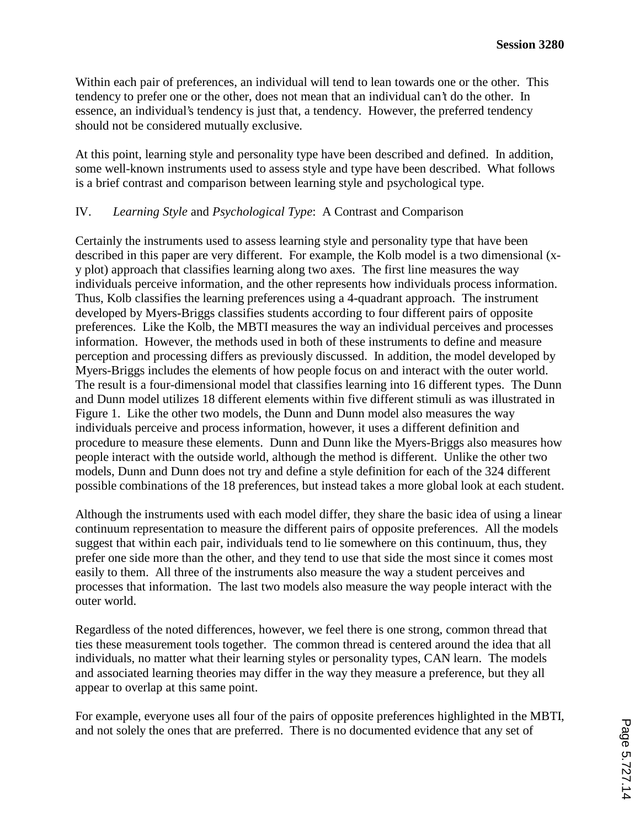Within each pair of preferences, an individual will tend to lean towards one or the other. This tendency to prefer one or the other, does not mean that an individual can't do the other. In essence, an individual's tendency is just that, a tendency. However, the preferred tendency should not be considered mutually exclusive.

At this point, learning style and personality type have been described and defined. In addition, some well-known instruments used to assess style and type have been described. What follows is a brief contrast and comparison between learning style and psychological type.

# IV. *Learning Style* and *Psychological Type*: A Contrast and Comparison

Certainly the instruments used to assess learning style and personality type that have been described in this paper are very different. For example, the Kolb model is a two dimensional (xy plot) approach that classifies learning along two axes. The first line measures the way individuals perceive information, and the other represents how individuals process information. Thus, Kolb classifies the learning preferences using a 4-quadrant approach. The instrument developed by Myers-Briggs classifies students according to four different pairs of opposite preferences. Like the Kolb, the MBTI measures the way an individual perceives and processes information. However, the methods used in both of these instruments to define and measure perception and processing differs as previously discussed. In addition, the model developed by Myers-Briggs includes the elements of how people focus on and interact with the outer world. The result is a four-dimensional model that classifies learning into 16 different types. The Dunn and Dunn model utilizes 18 different elements within five different stimuli as was illustrated in Figure 1. Like the other two models, the Dunn and Dunn model also measures the way individuals perceive and process information, however, it uses a different definition and procedure to measure these elements. Dunn and Dunn like the Myers-Briggs also measures how people interact with the outside world, although the method is different. Unlike the other two models, Dunn and Dunn does not try and define a style definition for each of the 324 different possible combinations of the 18 preferences, but instead takes a more global look at each student.

Although the instruments used with each model differ, they share the basic idea of using a linear continuum representation to measure the different pairs of opposite preferences. All the models suggest that within each pair, individuals tend to lie somewhere on this continuum, thus, they prefer one side more than the other, and they tend to use that side the most since it comes most easily to them. All three of the instruments also measure the way a student perceives and processes that information. The last two models also measure the way people interact with the outer world.

Regardless of the noted differences, however, we feel there is one strong, common thread that ties these measurement tools together. The common thread is centered around the idea that all individuals, no matter what their learning styles or personality types, CAN learn. The models and associated learning theories may differ in the way they measure a preference, but they all appear to overlap at this same point.

For example, everyone uses all four of the pairs of opposite preferences highlighted in the MBTI, and not solely the ones that are preferred. There is no documented evidence that any set of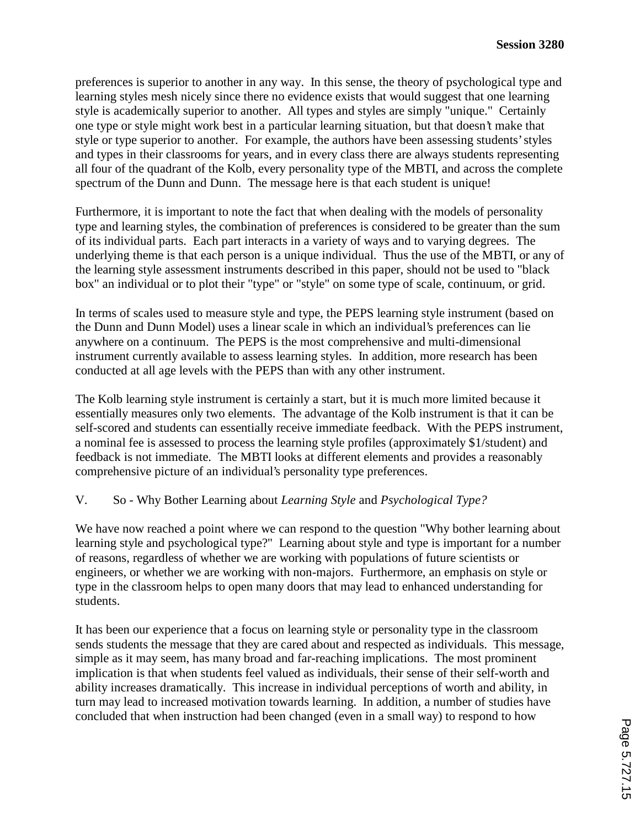preferences is superior to another in any way. In this sense, the theory of psychological type and learning styles mesh nicely since there no evidence exists that would suggest that one learning style is academically superior to another. All types and styles are simply "unique." Certainly one type or style might work best in a particular learning situation, but that doesn't make that style or type superior to another. For example, the authors have been assessing students' styles and types in their classrooms for years, and in every class there are always students representing all four of the quadrant of the Kolb, every personality type of the MBTI, and across the complete spectrum of the Dunn and Dunn. The message here is that each student is unique!

Furthermore, it is important to note the fact that when dealing with the models of personality type and learning styles, the combination of preferences is considered to be greater than the sum of its individual parts. Each part interacts in a variety of ways and to varying degrees. The underlying theme is that each person is a unique individual. Thus the use of the MBTI, or any of the learning style assessment instruments described in this paper, should not be used to "black box" an individual or to plot their "type" or "style" on some type of scale, continuum, or grid.

In terms of scales used to measure style and type, the PEPS learning style instrument (based on the Dunn and Dunn Model) uses a linear scale in which an individual's preferences can lie anywhere on a continuum. The PEPS is the most comprehensive and multi-dimensional instrument currently available to assess learning styles. In addition, more research has been conducted at all age levels with the PEPS than with any other instrument.

The Kolb learning style instrument is certainly a start, but it is much more limited because it essentially measures only two elements. The advantage of the Kolb instrument is that it can be self-scored and students can essentially receive immediate feedback. With the PEPS instrument, a nominal fee is assessed to process the learning style profiles (approximately \$1/student) and feedback is not immediate. The MBTI looks at different elements and provides a reasonably comprehensive picture of an individual's personality type preferences.

# V. So - Why Bother Learning about *Learning Style* and *Psychological Type?*

We have now reached a point where we can respond to the question "Why bother learning about learning style and psychological type?" Learning about style and type is important for a number of reasons, regardless of whether we are working with populations of future scientists or engineers, or whether we are working with non-majors. Furthermore, an emphasis on style or type in the classroom helps to open many doors that may lead to enhanced understanding for students.

It has been our experience that a focus on learning style or personality type in the classroom sends students the message that they are cared about and respected as individuals. This message, simple as it may seem, has many broad and far-reaching implications. The most prominent implication is that when students feel valued as individuals, their sense of their self-worth and ability increases dramatically. This increase in individual perceptions of worth and ability, in turn may lead to increased motivation towards learning. In addition, a number of studies have concluded that when instruction had been changed (even in a small way) to respond to how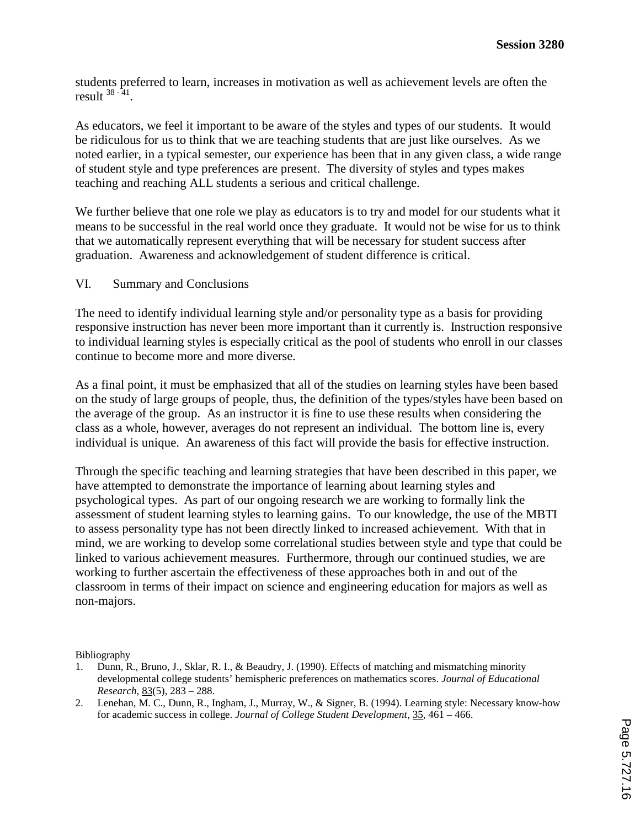students preferred to learn, increases in motivation as well as achievement levels are often the result  $38 - 41$ .

As educators, we feel it important to be aware of the styles and types of our students. It would be ridiculous for us to think that we are teaching students that are just like ourselves. As we noted earlier, in a typical semester, our experience has been that in any given class, a wide range of student style and type preferences are present. The diversity of styles and types makes teaching and reaching ALL students a serious and critical challenge.

We further believe that one role we play as educators is to try and model for our students what it means to be successful in the real world once they graduate. It would not be wise for us to think that we automatically represent everything that will be necessary for student success after graduation. Awareness and acknowledgement of student difference is critical.

#### VI. Summary and Conclusions

The need to identify individual learning style and/or personality type as a basis for providing responsive instruction has never been more important than it currently is. Instruction responsive to individual learning styles is especially critical as the pool of students who enroll in our classes continue to become more and more diverse.

As a final point, it must be emphasized that all of the studies on learning styles have been based on the study of large groups of people, thus, the definition of the types/styles have been based on the average of the group. As an instructor it is fine to use these results when considering the class as a whole, however, averages do not represent an individual. The bottom line is, every individual is unique. An awareness of this fact will provide the basis for effective instruction.

Through the specific teaching and learning strategies that have been described in this paper, we have attempted to demonstrate the importance of learning about learning styles and psychological types. As part of our ongoing research we are working to formally link the assessment of student learning styles to learning gains. To our knowledge, the use of the MBTI to assess personality type has not been directly linked to increased achievement. With that in mind, we are working to develop some correlational studies between style and type that could be linked to various achievement measures. Furthermore, through our continued studies, we are working to further ascertain the effectiveness of these approaches both in and out of the classroom in terms of their impact on science and engineering education for majors as well as non-majors.

Bibliography

- 1. Dunn, R., Bruno, J., Sklar, R. I., & Beaudry, J. (1990). Effects of matching and mismatching minority developmental college students' hemispheric preferences on mathematics scores. *Journal of Educational Research*, 83(5), 283 – 288.
- 2. Lenehan, M. C., Dunn, R., Ingham, J., Murray, W., & Signer, B. (1994). Learning style: Necessary know-how for academic success in college. *Journal of College Student Development*, 35, 461 – 466.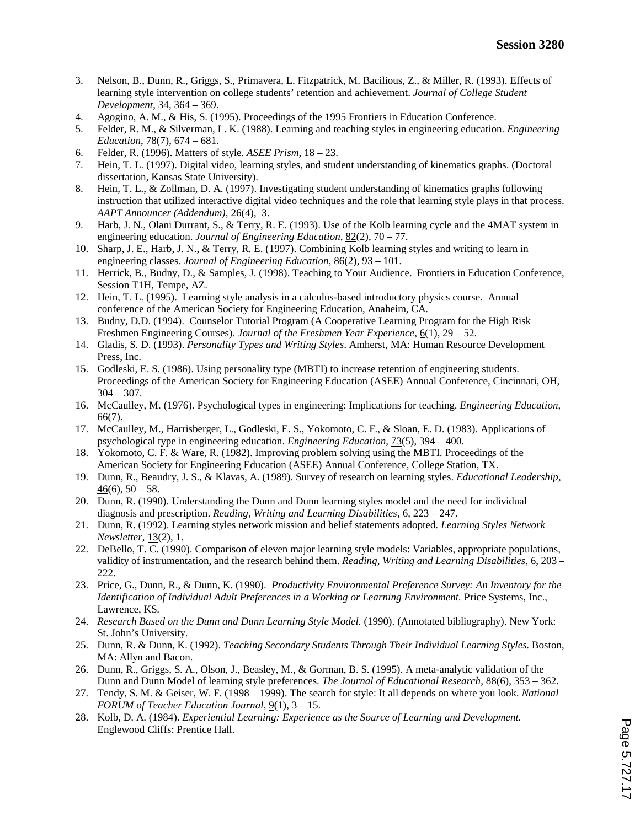- 3. Nelson, B., Dunn, R., Griggs, S., Primavera, L. Fitzpatrick, M. Bacilious, Z., & Miller, R. (1993). Effects of learning style intervention on college students' retention and achievement. *Journal of College Student Development*, 34, 364 – 369.
- 4. Agogino, A. M., & His, S. (1995). Proceedings of the 1995 Frontiers in Education Conference.
- 5. Felder, R. M., & Silverman, L. K. (1988). Learning and teaching styles in engineering education. *Engineering Education*, 78(7), 674 – 681.
- 6. Felder, R. (1996). Matters of style. *ASEE Prism*, 18 23.
- 7. Hein, T. L. (1997). Digital video, learning styles, and student understanding of kinematics graphs. (Doctoral dissertation, Kansas State University).
- 8. Hein, T. L., & Zollman, D. A. (1997). Investigating student understanding of kinematics graphs following instruction that utilized interactive digital video techniques and the role that learning style plays in that process. *AAPT Announcer (Addendum)*, 26(4), 3.
- 9. Harb, J. N., Olani Durrant, S., & Terry, R. E. (1993). Use of the Kolb learning cycle and the 4MAT system in engineering education. *Journal of Engineering Education*, 82(2), 70 – 77.
- 10. Sharp, J. E., Harb, J. N., & Terry, R. E. (1997). Combining Kolb learning styles and writing to learn in engineering classes. *Journal of Engineering Education*, 86(2), 93 – 101.
- 11. Herrick, B., Budny, D., & Samples, J. (1998). Teaching to Your Audience. Frontiers in Education Conference, Session T1H, Tempe, AZ.
- 12. Hein, T. L. (1995). Learning style analysis in a calculus-based introductory physics course. Annual conference of the American Society for Engineering Education, Anaheim, CA.
- 13. Budny, D.D. (1994). Counselor Tutorial Program (A Cooperative Learning Program for the High Risk Freshmen Engineering Courses). *Journal of the Freshmen Year Experience*, 6(1), 29 – 52.
- 14. Gladis, S. D. (1993). *Personality Types and Writing Styles*. Amherst, MA: Human Resource Development Press, Inc.
- 15. Godleski, E. S. (1986). Using personality type (MBTI) to increase retention of engineering students. Proceedings of the American Society for Engineering Education (ASEE) Annual Conference, Cincinnati, OH,  $304 - 307$ .
- 16. McCaulley, M. (1976). Psychological types in engineering: Implications for teaching. *Engineering Education*, 66(7).
- 17. McCaulley, M., Harrisberger, L., Godleski, E. S., Yokomoto, C. F., & Sloan, E. D. (1983). Applications of psychological type in engineering education. *Engineering Education*, 73(5), 394 – 400.
- 18. Yokomoto, C. F. & Ware, R. (1982). Improving problem solving using the MBTI*.* Proceedings of the American Society for Engineering Education (ASEE) Annual Conference, College Station, TX.
- 19. Dunn, R., Beaudry, J. S., & Klavas, A. (1989). Survey of research on learning styles. *Educational Leadership*,  $46(6)$ ,  $50 - 58$ .
- 20. Dunn, R. (1990). Understanding the Dunn and Dunn learning styles model and the need for individual diagnosis and prescription. *Reading, Writing and Learning Disabilities*, 6, 223 – 247.
- 21. Dunn, R. (1992). Learning styles network mission and belief statements adopted*. Learning Styles Network Newsletter*, 13(2), 1.
- 22. DeBello, T. C. (1990). Comparison of eleven major learning style models: Variables, appropriate populations, validity of instrumentation, and the research behind them. *Reading, Writing and Learning Disabilities*, 6, 203 – 222.
- 23. Price, G., Dunn, R., & Dunn, K. (1990). *Productivity Environmental Preference Survey: An Inventory for the Identification of Individual Adult Preferences in a Working or Learning Environment.* Price Systems, Inc., Lawrence, KS.
- 24. *Research Based on the Dunn and Dunn Learning Style Model.* (1990). (Annotated bibliography). New York: St. John's University.
- 25. Dunn, R. & Dunn, K. (1992). *Teaching Secondary Students Through Their Individual Learning Styles.* Boston, MA: Allyn and Bacon.
- 26. Dunn, R., Griggs, S. A., Olson, J., Beasley, M., & Gorman, B. S. (1995). A meta-analytic validation of the Dunn and Dunn Model of learning style preferences. *The Journal of Educational Research*, 88(6), 353 – 362.
- 27. Tendy, S. M. & Geiser, W. F. (1998 1999). The search for style: It all depends on where you look. *National FORUM of Teacher Education Journal*, 9(1), 3 – 15.
- 28. Kolb, D. A. (1984). *Experiential Learning: Experience as the Source of Learning and Development.* Englewood Cliffs: Prentice Hall.